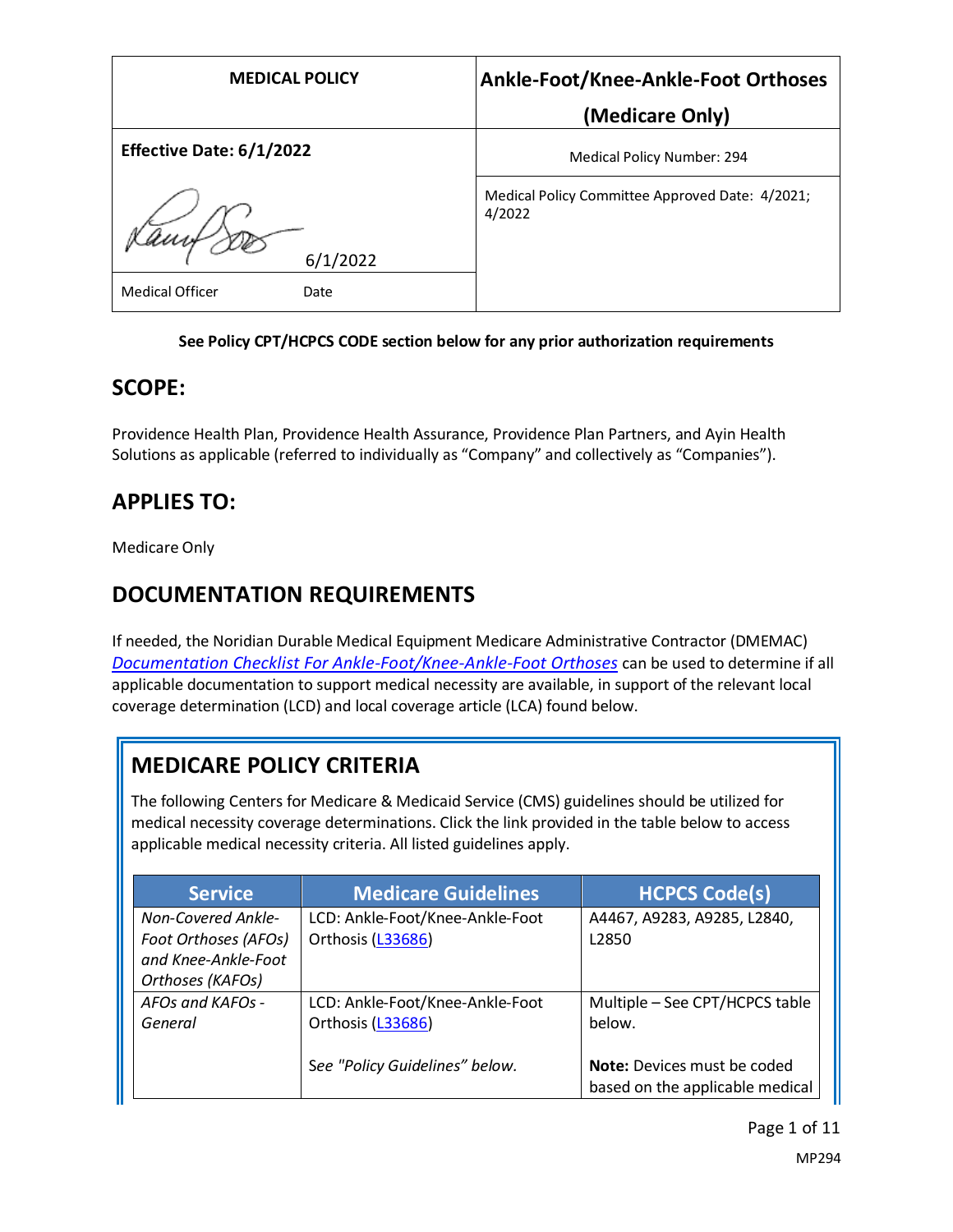| <b>MEDICAL POLICY</b>          | Ankle-Foot/Knee-Ankle-Foot Orthoses                       |
|--------------------------------|-----------------------------------------------------------|
|                                | (Medicare Only)                                           |
| Effective Date: 6/1/2022       | Medical Policy Number: 294                                |
| 6/1/2022                       | Medical Policy Committee Approved Date: 4/2021;<br>4/2022 |
| <b>Medical Officer</b><br>Date |                                                           |

### **See Policy CPT/HCPCS CODE section below for any prior authorization requirements**

### **SCOPE:**

Providence Health Plan, Providence Health Assurance, Providence Plan Partners, and Ayin Health Solutions as applicable (referred to individually as "Company" and collectively as "Companies").

## **APPLIES TO:**

Medicare Only

## **DOCUMENTATION REQUIREMENTS**

If needed, the Noridian Durable Medical Equipment Medicare Administrative Contractor (DMEMAC) *[Documentation Checklist For Ankle-Foot/Knee-Ankle-Foot Orthoses](https://med.noridianmedicare.com/documents/2230715/26734435/Documentation+Checklist+-+Ankle-Foot+Knee-Ankle-Foot+Orthoses)* can be used to determine if all applicable documentation to support medical necessity are available, in support of the relevant local coverage determination (LCD) and local coverage article (LCA) found below.

# **MEDICARE POLICY CRITERIA**

The following Centers for Medicare & Medicaid Service (CMS) guidelines should be utilized for medical necessity coverage determinations. Click the link provided in the table below to access applicable medical necessity criteria. All listed guidelines apply.

| <b>Service</b>            | <b>Medicare Guidelines</b>      | <b>HCPCS Code(s)</b>               |
|---------------------------|---------------------------------|------------------------------------|
| <b>Non-Covered Ankle-</b> | LCD: Ankle-Foot/Knee-Ankle-Foot | A4467, A9283, A9285, L2840,        |
| Foot Orthoses (AFOs)      | Orthosis (L33686)               | L <sub>2850</sub>                  |
| and Knee-Ankle-Foot       |                                 |                                    |
| Orthoses (KAFOs)          |                                 |                                    |
| AFOs and KAFOs -          | LCD: Ankle-Foot/Knee-Ankle-Foot | Multiple - See CPT/HCPCS table     |
| General                   | Orthosis (L33686)               | below.                             |
|                           |                                 |                                    |
|                           | See "Policy Guidelines" below.  | <b>Note:</b> Devices must be coded |
|                           |                                 | based on the applicable medical    |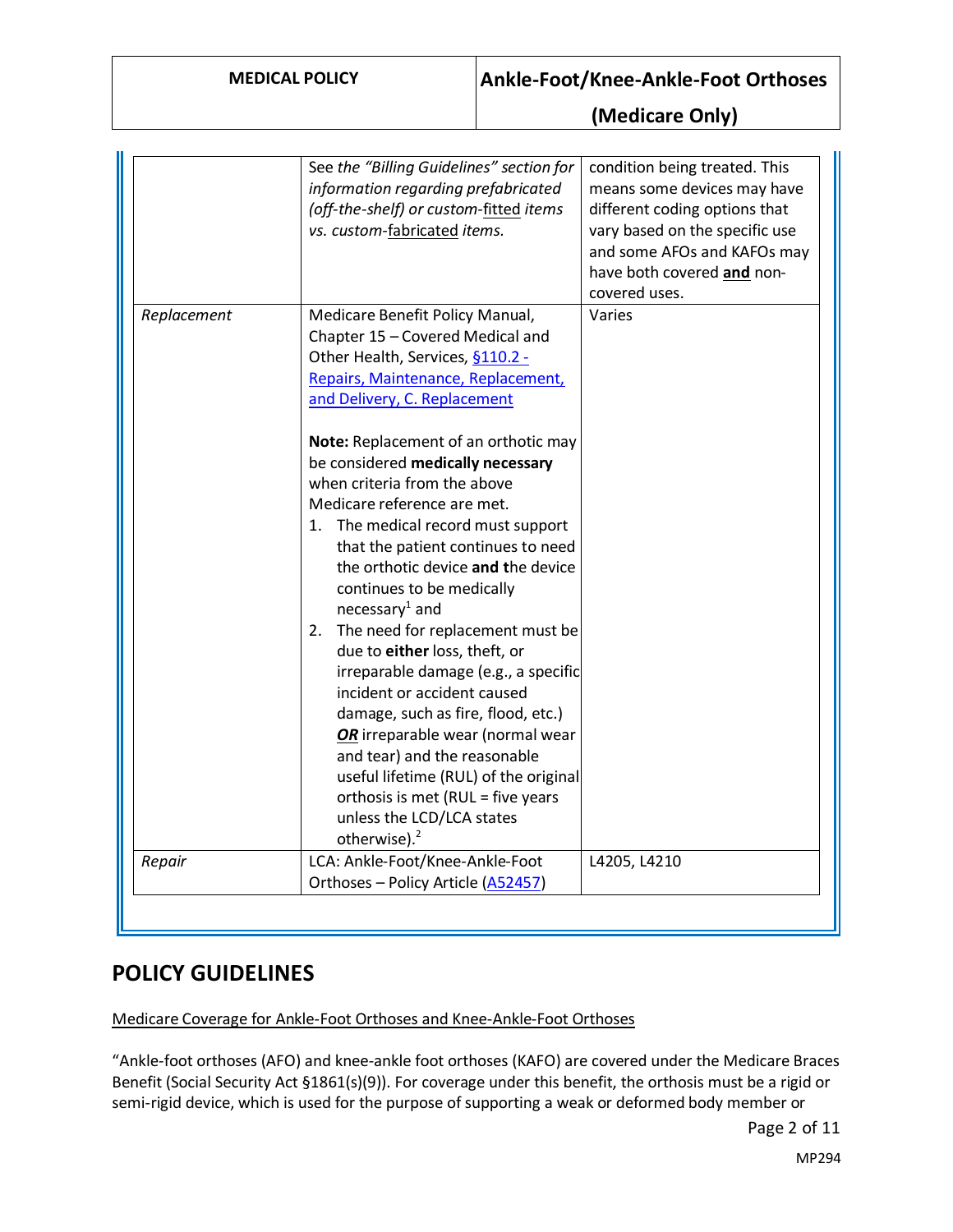|             | See the "Billing Guidelines" section for<br>information regarding prefabricated<br>(off-the-shelf) or custom-fitted items<br>vs. custom-fabricated items.                                                                                                                                                                                                                                                                                                                                                                                                                                                                                                    | condition being treated. This<br>means some devices may have<br>different coding options that<br>vary based on the specific use<br>and some AFOs and KAFOs may<br>have both covered and non-<br>covered uses. |
|-------------|--------------------------------------------------------------------------------------------------------------------------------------------------------------------------------------------------------------------------------------------------------------------------------------------------------------------------------------------------------------------------------------------------------------------------------------------------------------------------------------------------------------------------------------------------------------------------------------------------------------------------------------------------------------|---------------------------------------------------------------------------------------------------------------------------------------------------------------------------------------------------------------|
| Replacement | Medicare Benefit Policy Manual,<br>Chapter 15 - Covered Medical and<br>Other Health, Services, §110.2 -<br>Repairs, Maintenance, Replacement,<br>and Delivery, C. Replacement                                                                                                                                                                                                                                                                                                                                                                                                                                                                                | Varies                                                                                                                                                                                                        |
|             | Note: Replacement of an orthotic may<br>be considered medically necessary<br>when criteria from the above<br>Medicare reference are met.<br>1. The medical record must support<br>that the patient continues to need<br>the orthotic device and the device<br>continues to be medically<br>necessary <sup>1</sup> and<br>2. The need for replacement must be<br>due to either loss, theft, or<br>irreparable damage (e.g., a specific<br>incident or accident caused<br>damage, such as fire, flood, etc.)<br>OR irreparable wear (normal wear<br>and tear) and the reasonable<br>useful lifetime (RUL) of the original<br>orthosis is met (RUL = five years |                                                                                                                                                                                                               |
| Repair      | unless the LCD/LCA states<br>otherwise). <sup>2</sup><br>LCA: Ankle-Foot/Knee-Ankle-Foot<br>Orthoses - Policy Article (A52457)                                                                                                                                                                                                                                                                                                                                                                                                                                                                                                                               | L4205, L4210                                                                                                                                                                                                  |

## **POLICY GUIDELINES**

Medicare Coverage for Ankle-Foot Orthoses and Knee-Ankle-Foot Orthoses

"Ankle-foot orthoses (AFO) and knee-ankle foot orthoses (KAFO) are covered under the Medicare Braces Benefit (Social Security Act §1861(s)(9)). For coverage under this benefit, the orthosis must be a rigid or semi-rigid device, which is used for the purpose of supporting a weak or deformed body member or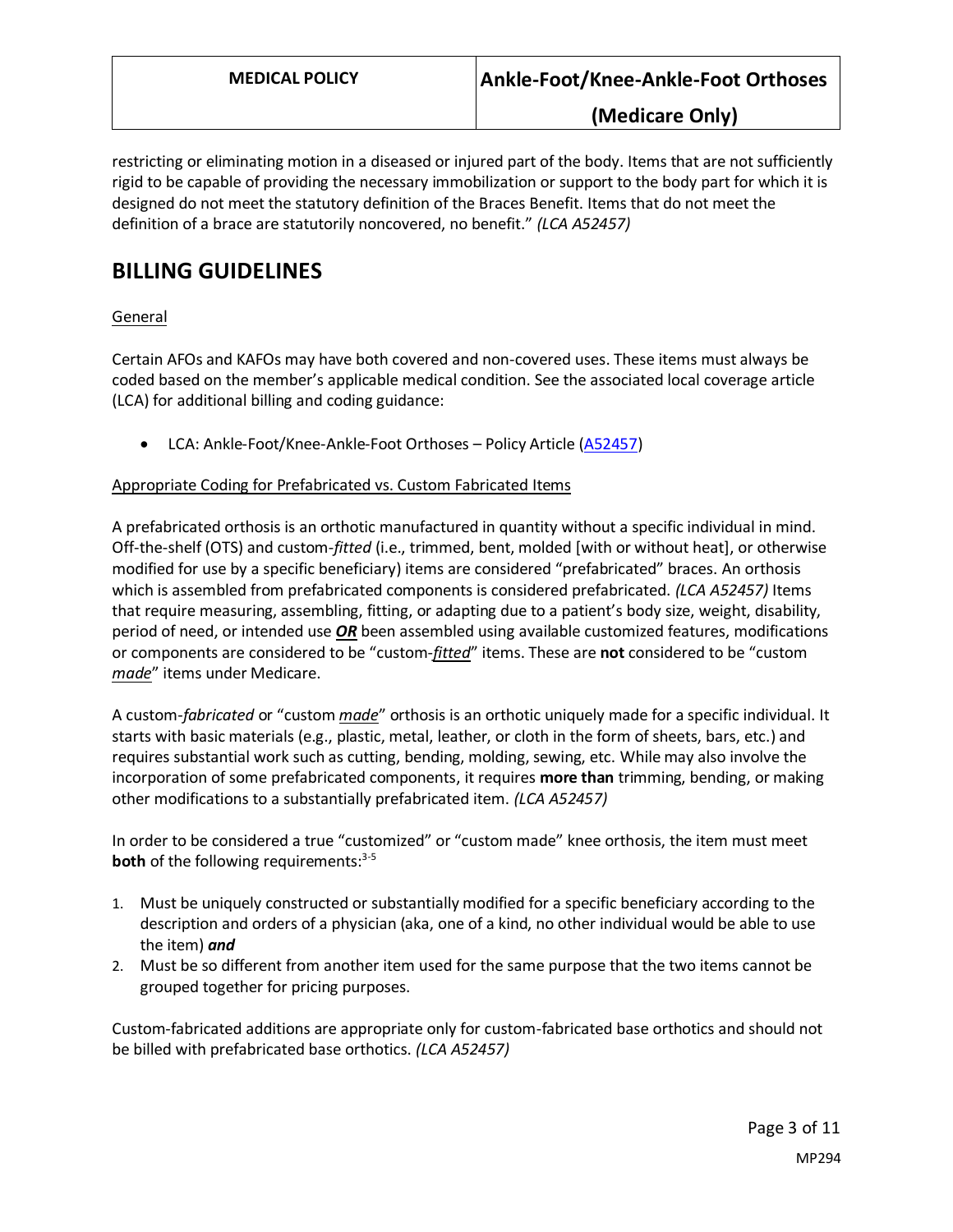restricting or eliminating motion in a diseased or injured part of the body. Items that are not sufficiently rigid to be capable of providing the necessary immobilization or support to the body part for which it is designed do not meet the statutory definition of the Braces Benefit. Items that do not meet the definition of a brace are statutorily noncovered, no benefit." *(LCA A52457)*

## **BILLING GUIDELINES**

### General

Certain AFOs and KAFOs may have both covered and non-covered uses. These items must always be coded based on the member's applicable medical condition. See the associated local coverage article (LCA) for additional billing and coding guidance:

• LCA: Ankle-Foot/Knee-Ankle-Foot Orthoses - Policy Article [\(A52457\)](https://www.cms.gov/medicare-coverage-database/details/article-details.aspx?articleid=52457)

### Appropriate Coding for Prefabricated vs. Custom Fabricated Items

A prefabricated orthosis is an orthotic manufactured in quantity without a specific individual in mind. Off-the-shelf (OTS) and custom-*fitted* (i.e., trimmed, bent, molded [with or without heat], or otherwise modified for use by a specific beneficiary) items are considered "prefabricated" braces. An orthosis which is assembled from prefabricated components is considered prefabricated. *(LCA A52457)* Items that require measuring, assembling, fitting, or adapting due to a patient's body size, weight, disability, period of need, or intended use *OR* been assembled using available customized features, modifications or components are considered to be "custom-*fitted*" items. These are **not** considered to be "custom *made*" items under Medicare.

A custom-*fabricated* or "custom *made*" orthosis is an orthotic uniquely made for a specific individual. It starts with basic materials (e.g., plastic, metal, leather, or cloth in the form of sheets, bars, etc.) and requires substantial work such as cutting, bending, molding, sewing, etc. While may also involve the incorporation of some prefabricated components, it requires **more than** trimming, bending, or making other modifications to a substantially prefabricated item. *(LCA A52457)*

In order to be considered a true "customized" or "custom made" knee orthosis, the item must meet **both** of the following requirements:<sup>3-5</sup>

- 1. Must be uniquely constructed or substantially modified for a specific beneficiary according to the description and orders of a physician (aka, one of a kind, no other individual would be able to use the item) *and*
- 2. Must be so different from another item used for the same purpose that the two items cannot be grouped together for pricing purposes.

Custom-fabricated additions are appropriate only for custom-fabricated base orthotics and should not be billed with prefabricated base orthotics. *(LCA A52457)*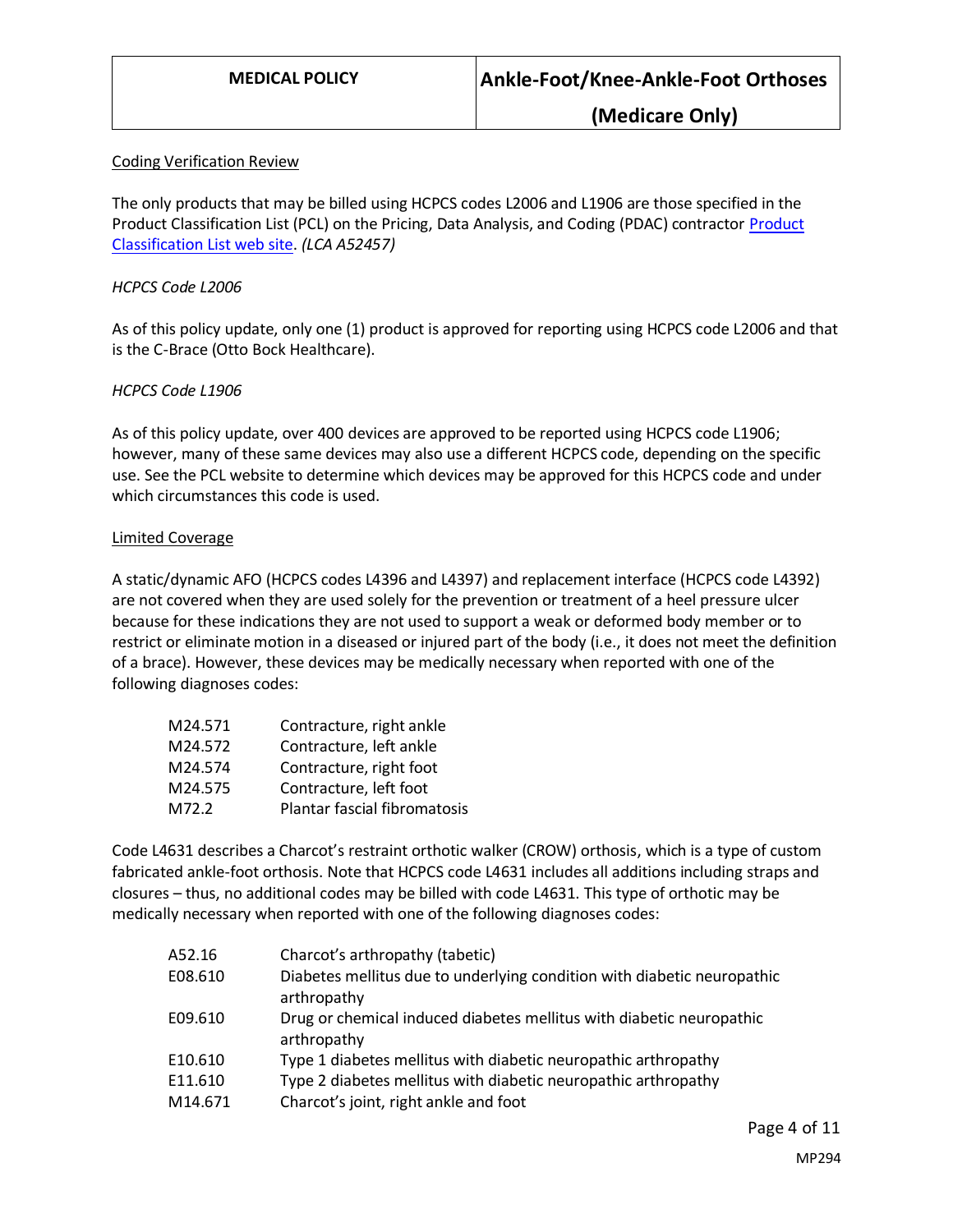#### Coding Verification Review

The only products that may be billed using HCPCS codes L2006 and L1906 are those specified in the Product Classification List (PCL) on the Pricing, Data Analysis, and Coding (PDAC) contractor Product [Classification List web site.](https://www4.palmettogba.com/pdac_dmecs/initProductClassificationResults.do) *(LCA A52457)*

#### *HCPCS Code L2006*

As of this policy update, only one (1) product is approved for reporting using HCPCS code L2006 and that is the C-Brace (Otto Bock Healthcare).

#### *HCPCS Code L1906*

As of this policy update, over 400 devices are approved to be reported using HCPCS code L1906; however, many of these same devices may also use a different HCPCS code, depending on the specific use. See the PCL website to determine which devices may be approved for this HCPCS code and under which circumstances this code is used.

#### Limited Coverage

A static/dynamic AFO (HCPCS codes L4396 and L4397) and replacement interface (HCPCS code L4392) are not covered when they are used solely for the prevention or treatment of a heel pressure ulcer because for these indications they are not used to support a weak or deformed body member or to restrict or eliminate motion in a diseased or injured part of the body (i.e., it does not meet the definition of a brace). However, these devices may be medically necessary when reported with one of the following diagnoses codes:

| M24.571 | Contracture, right ankle     |
|---------|------------------------------|
| M24.572 | Contracture, left ankle      |
| M24.574 | Contracture, right foot      |
| M24.575 | Contracture, left foot       |
| M72.2   | Plantar fascial fibromatosis |

Code L4631 describes a Charcot's restraint orthotic walker (CROW) orthosis, which is a type of custom fabricated ankle-foot orthosis. Note that HCPCS code L4631 includes all additions including straps and closures – thus, no additional codes may be billed with code L4631. This type of orthotic may be medically necessary when reported with one of the following diagnoses codes:

| A52.16  | Charcot's arthropathy (tabetic)                                                        |
|---------|----------------------------------------------------------------------------------------|
| E08.610 | Diabetes mellitus due to underlying condition with diabetic neuropathic<br>arthropathy |
| E09.610 | Drug or chemical induced diabetes mellitus with diabetic neuropathic<br>arthropathy    |
| E10.610 | Type 1 diabetes mellitus with diabetic neuropathic arthropathy                         |
| E11.610 | Type 2 diabetes mellitus with diabetic neuropathic arthropathy                         |
| M14.671 | Charcot's joint, right ankle and foot                                                  |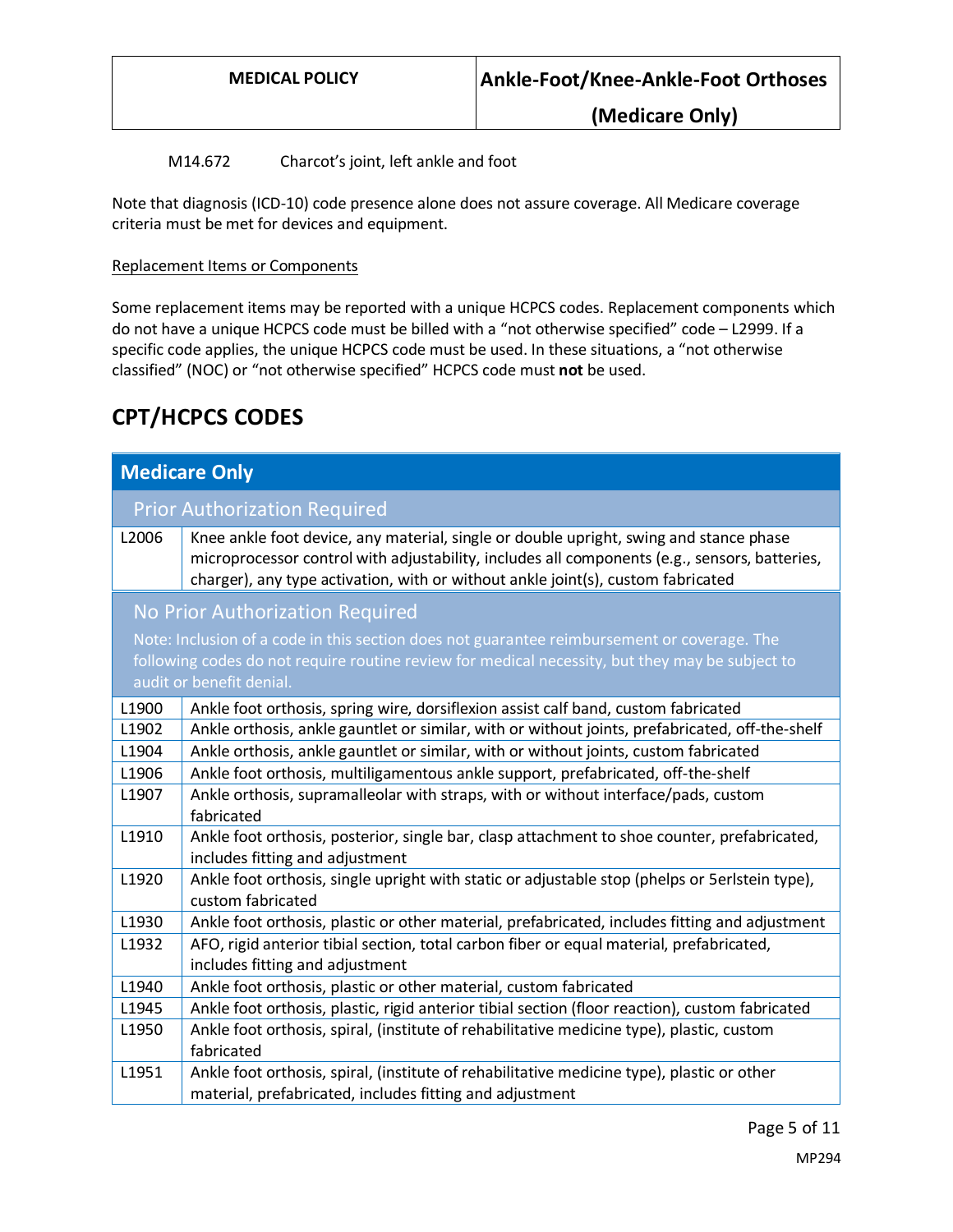### M14.672 Charcot's joint, left ankle and foot

Note that diagnosis (ICD-10) code presence alone does not assure coverage. All Medicare coverage criteria must be met for devices and equipment.

#### Replacement Items or Components

Some replacement items may be reported with a unique HCPCS codes. Replacement components which do not have a unique HCPCS code must be billed with a "not otherwise specified" code – L2999. If a specific code applies, the unique HCPCS code must be used. In these situations, a "not otherwise classified" (NOC) or "not otherwise specified" HCPCS code must **not** be used.

## **CPT/HCPCS CODES**

| <b>Medicare Only</b> |                                                                                                                                                                                                                                                                             |
|----------------------|-----------------------------------------------------------------------------------------------------------------------------------------------------------------------------------------------------------------------------------------------------------------------------|
|                      | <b>Prior Authorization Required</b>                                                                                                                                                                                                                                         |
| L2006                | Knee ankle foot device, any material, single or double upright, swing and stance phase<br>microprocessor control with adjustability, includes all components (e.g., sensors, batteries,<br>charger), any type activation, with or without ankle joint(s), custom fabricated |
|                      | No Prior Authorization Required                                                                                                                                                                                                                                             |
|                      | Note: Inclusion of a code in this section does not guarantee reimbursement or coverage. The<br>following codes do not require routine review for medical necessity, but they may be subject to<br>audit or benefit denial.                                                  |
| L1900                | Ankle foot orthosis, spring wire, dorsiflexion assist calf band, custom fabricated                                                                                                                                                                                          |
| L1902                | Ankle orthosis, ankle gauntlet or similar, with or without joints, prefabricated, off-the-shelf                                                                                                                                                                             |
| L1904                | Ankle orthosis, ankle gauntlet or similar, with or without joints, custom fabricated                                                                                                                                                                                        |
| L1906                | Ankle foot orthosis, multiligamentous ankle support, prefabricated, off-the-shelf                                                                                                                                                                                           |
| L1907                | Ankle orthosis, supramalleolar with straps, with or without interface/pads, custom<br>fabricated                                                                                                                                                                            |
| L1910                | Ankle foot orthosis, posterior, single bar, clasp attachment to shoe counter, prefabricated,<br>includes fitting and adjustment                                                                                                                                             |
| L1920                | Ankle foot orthosis, single upright with static or adjustable stop (phelps or 5erlstein type),<br>custom fabricated                                                                                                                                                         |
| L1930                | Ankle foot orthosis, plastic or other material, prefabricated, includes fitting and adjustment                                                                                                                                                                              |
| L1932                | AFO, rigid anterior tibial section, total carbon fiber or equal material, prefabricated,<br>includes fitting and adjustment                                                                                                                                                 |
| L1940                | Ankle foot orthosis, plastic or other material, custom fabricated                                                                                                                                                                                                           |
| L1945                | Ankle foot orthosis, plastic, rigid anterior tibial section (floor reaction), custom fabricated                                                                                                                                                                             |
| L1950                | Ankle foot orthosis, spiral, (institute of rehabilitative medicine type), plastic, custom<br>fabricated                                                                                                                                                                     |
| L1951                | Ankle foot orthosis, spiral, (institute of rehabilitative medicine type), plastic or other                                                                                                                                                                                  |
|                      | material, prefabricated, includes fitting and adjustment                                                                                                                                                                                                                    |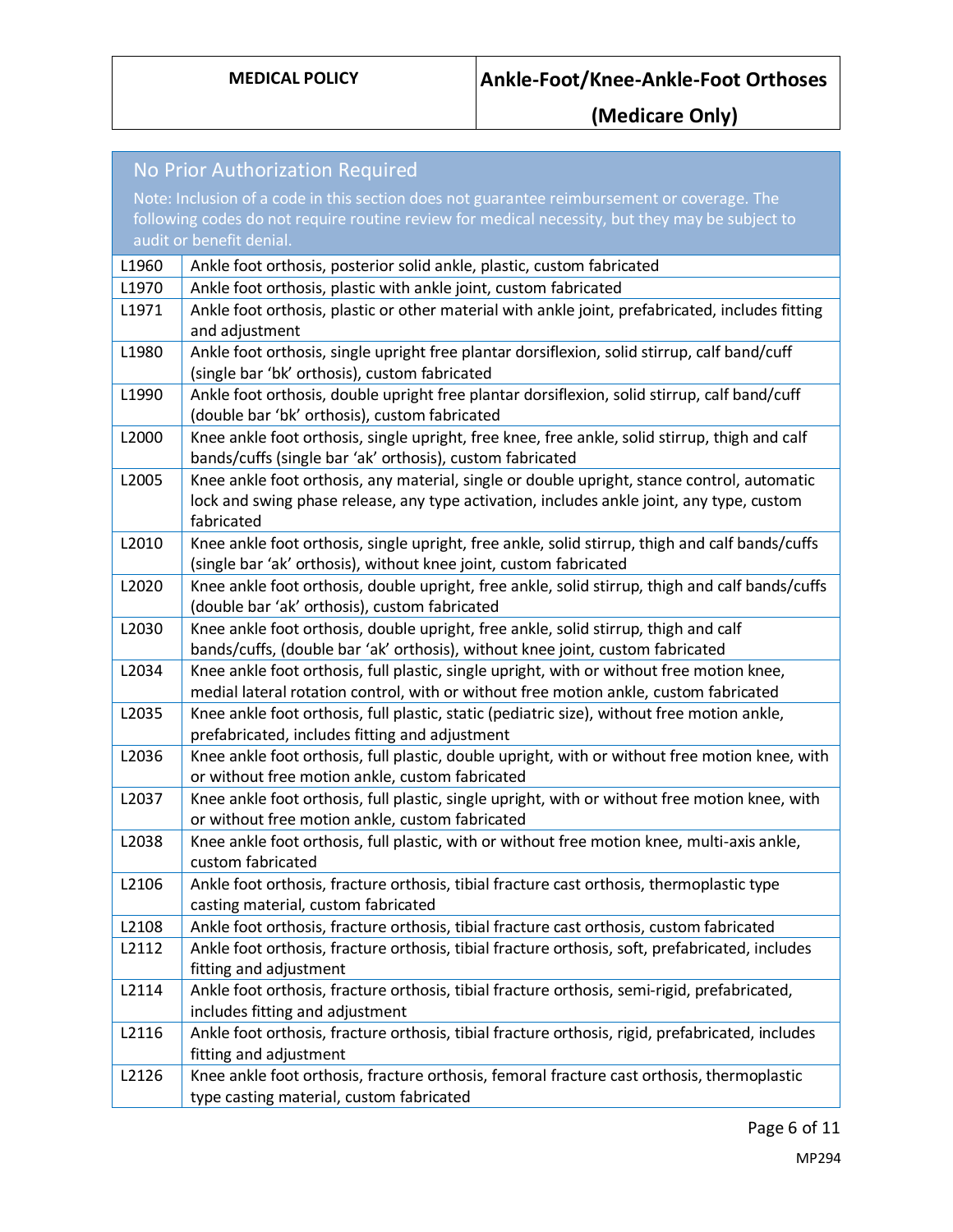| No Prior Authorization Required |                                                                                                                                                                      |
|---------------------------------|----------------------------------------------------------------------------------------------------------------------------------------------------------------------|
|                                 | Note: Inclusion of a code in this section does not guarantee reimbursement or coverage. The                                                                          |
|                                 | following codes do not require routine review for medical necessity, but they may be subject to                                                                      |
|                                 | audit or benefit denial.                                                                                                                                             |
| L1960                           | Ankle foot orthosis, posterior solid ankle, plastic, custom fabricated                                                                                               |
| L1970                           | Ankle foot orthosis, plastic with ankle joint, custom fabricated                                                                                                     |
| L1971                           | Ankle foot orthosis, plastic or other material with ankle joint, prefabricated, includes fitting                                                                     |
|                                 | and adjustment                                                                                                                                                       |
| L1980                           | Ankle foot orthosis, single upright free plantar dorsiflexion, solid stirrup, calf band/cuff                                                                         |
|                                 | (single bar 'bk' orthosis), custom fabricated                                                                                                                        |
| L1990                           | Ankle foot orthosis, double upright free plantar dorsiflexion, solid stirrup, calf band/cuff                                                                         |
|                                 | (double bar 'bk' orthosis), custom fabricated                                                                                                                        |
| L2000                           | Knee ankle foot orthosis, single upright, free knee, free ankle, solid stirrup, thigh and calf                                                                       |
|                                 | bands/cuffs (single bar 'ak' orthosis), custom fabricated                                                                                                            |
| L2005                           | Knee ankle foot orthosis, any material, single or double upright, stance control, automatic                                                                          |
|                                 | lock and swing phase release, any type activation, includes ankle joint, any type, custom                                                                            |
|                                 | fabricated                                                                                                                                                           |
| L2010                           | Knee ankle foot orthosis, single upright, free ankle, solid stirrup, thigh and calf bands/cuffs<br>(single bar 'ak' orthosis), without knee joint, custom fabricated |
| L2020                           | Knee ankle foot orthosis, double upright, free ankle, solid stirrup, thigh and calf bands/cuffs                                                                      |
|                                 | (double bar 'ak' orthosis), custom fabricated                                                                                                                        |
| L2030                           | Knee ankle foot orthosis, double upright, free ankle, solid stirrup, thigh and calf                                                                                  |
|                                 | bands/cuffs, (double bar 'ak' orthosis), without knee joint, custom fabricated                                                                                       |
| L2034                           | Knee ankle foot orthosis, full plastic, single upright, with or without free motion knee,                                                                            |
|                                 | medial lateral rotation control, with or without free motion ankle, custom fabricated                                                                                |
| L2035                           | Knee ankle foot orthosis, full plastic, static (pediatric size), without free motion ankle,                                                                          |
|                                 | prefabricated, includes fitting and adjustment                                                                                                                       |
| L2036                           | Knee ankle foot orthosis, full plastic, double upright, with or without free motion knee, with                                                                       |
|                                 | or without free motion ankle, custom fabricated                                                                                                                      |
| L2037                           | Knee ankle foot orthosis, full plastic, single upright, with or without free motion knee, with                                                                       |
|                                 | or without free motion ankle, custom fabricated                                                                                                                      |
| L2038                           | Knee ankle foot orthosis, full plastic, with or without free motion knee, multi-axis ankle,                                                                          |
|                                 | custom fabricated                                                                                                                                                    |
| L2106                           | Ankle foot orthosis, fracture orthosis, tibial fracture cast orthosis, thermoplastic type                                                                            |
| L2108                           | casting material, custom fabricated<br>Ankle foot orthosis, fracture orthosis, tibial fracture cast orthosis, custom fabricated                                      |
| L2112                           | Ankle foot orthosis, fracture orthosis, tibial fracture orthosis, soft, prefabricated, includes                                                                      |
|                                 | fitting and adjustment                                                                                                                                               |
| L2114                           | Ankle foot orthosis, fracture orthosis, tibial fracture orthosis, semi-rigid, prefabricated,                                                                         |
|                                 | includes fitting and adjustment                                                                                                                                      |
| L2116                           | Ankle foot orthosis, fracture orthosis, tibial fracture orthosis, rigid, prefabricated, includes                                                                     |
|                                 | fitting and adjustment                                                                                                                                               |
| L2126                           | Knee ankle foot orthosis, fracture orthosis, femoral fracture cast orthosis, thermoplastic                                                                           |
|                                 | type casting material, custom fabricated                                                                                                                             |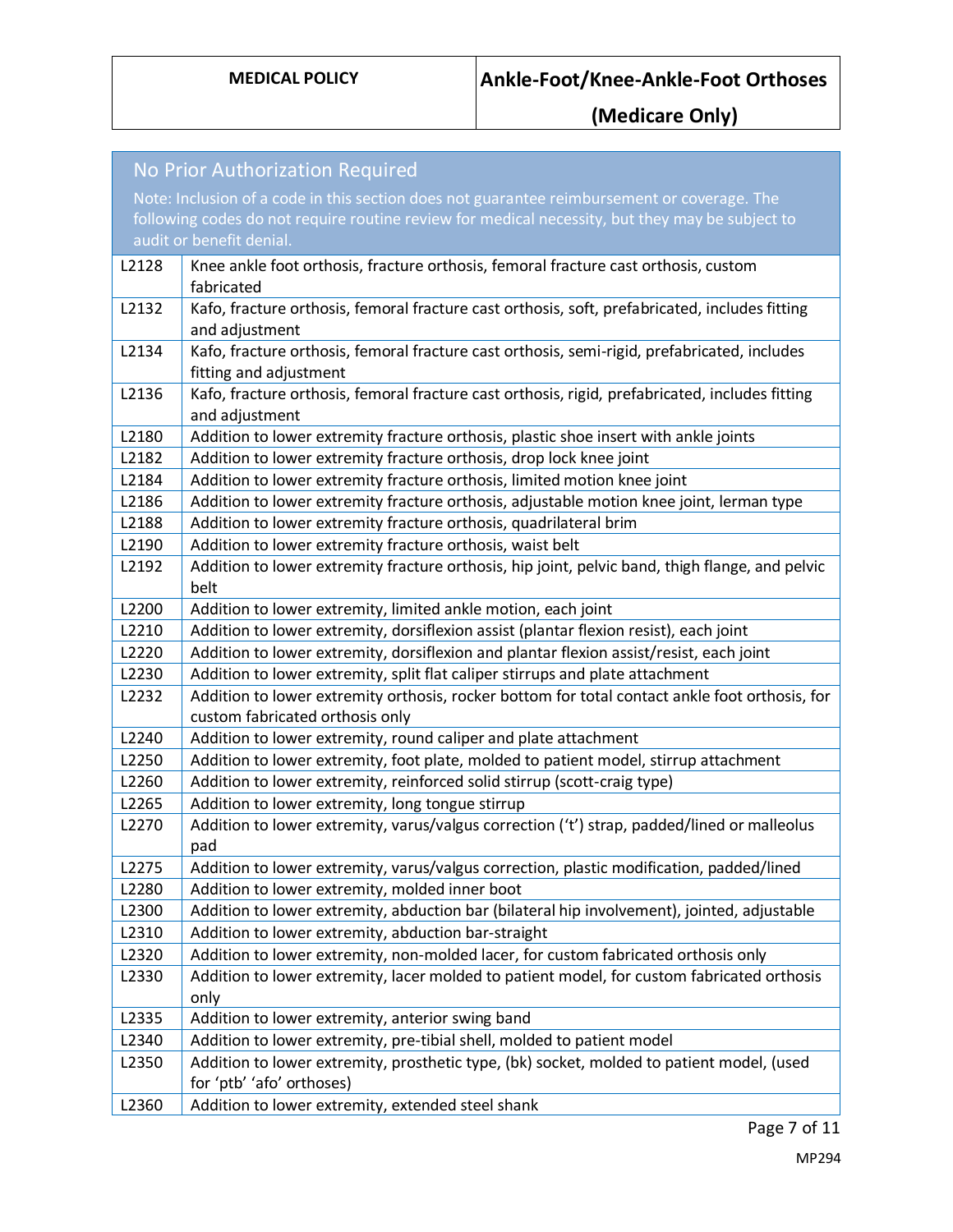|       | <b>No Prior Authorization Required</b>                                                                                 |
|-------|------------------------------------------------------------------------------------------------------------------------|
|       | Note: Inclusion of a code in this section does not guarantee reimbursement or coverage. The                            |
|       | following codes do not require routine review for medical necessity, but they may be subject to                        |
|       | audit or benefit denial.                                                                                               |
| L2128 | Knee ankle foot orthosis, fracture orthosis, femoral fracture cast orthosis, custom                                    |
|       | fabricated                                                                                                             |
| L2132 | Kafo, fracture orthosis, femoral fracture cast orthosis, soft, prefabricated, includes fitting                         |
|       | and adjustment                                                                                                         |
| L2134 | Kafo, fracture orthosis, femoral fracture cast orthosis, semi-rigid, prefabricated, includes                           |
|       | fitting and adjustment                                                                                                 |
| L2136 | Kafo, fracture orthosis, femoral fracture cast orthosis, rigid, prefabricated, includes fitting                        |
|       | and adjustment                                                                                                         |
| L2180 | Addition to lower extremity fracture orthosis, plastic shoe insert with ankle joints                                   |
| L2182 | Addition to lower extremity fracture orthosis, drop lock knee joint                                                    |
| L2184 | Addition to lower extremity fracture orthosis, limited motion knee joint                                               |
| L2186 | Addition to lower extremity fracture orthosis, adjustable motion knee joint, lerman type                               |
| L2188 | Addition to lower extremity fracture orthosis, quadrilateral brim                                                      |
| L2190 | Addition to lower extremity fracture orthosis, waist belt                                                              |
| L2192 | Addition to lower extremity fracture orthosis, hip joint, pelvic band, thigh flange, and pelvic                        |
|       | belt                                                                                                                   |
| L2200 | Addition to lower extremity, limited ankle motion, each joint                                                          |
| L2210 | Addition to lower extremity, dorsiflexion assist (plantar flexion resist), each joint                                  |
| L2220 | Addition to lower extremity, dorsiflexion and plantar flexion assist/resist, each joint                                |
| L2230 | Addition to lower extremity, split flat caliper stirrups and plate attachment                                          |
| L2232 | Addition to lower extremity orthosis, rocker bottom for total contact ankle foot orthosis, for                         |
|       | custom fabricated orthosis only                                                                                        |
| L2240 | Addition to lower extremity, round caliper and plate attachment                                                        |
| L2250 | Addition to lower extremity, foot plate, molded to patient model, stirrup attachment                                   |
| L2260 | Addition to lower extremity, reinforced solid stirrup (scott-craig type)                                               |
| L2265 | Addition to lower extremity, long tongue stirrup                                                                       |
| L2270 | Addition to lower extremity, varus/valgus correction ('t') strap, padded/lined or malleolus                            |
|       | pad                                                                                                                    |
| L2275 | Addition to lower extremity, varus/valgus correction, plastic modification, padded/lined                               |
| L2280 | Addition to lower extremity, molded inner boot                                                                         |
| L2300 | Addition to lower extremity, abduction bar (bilateral hip involvement), jointed, adjustable                            |
| L2310 | Addition to lower extremity, abduction bar-straight                                                                    |
| L2320 | Addition to lower extremity, non-molded lacer, for custom fabricated orthosis only                                     |
| L2330 | Addition to lower extremity, lacer molded to patient model, for custom fabricated orthosis                             |
|       | only                                                                                                                   |
| L2335 | Addition to lower extremity, anterior swing band                                                                       |
| L2340 | Addition to lower extremity, pre-tibial shell, molded to patient model                                                 |
| L2350 | Addition to lower extremity, prosthetic type, (bk) socket, molded to patient model, (used<br>for 'ptb' 'afo' orthoses) |
| L2360 | Addition to lower extremity, extended steel shank                                                                      |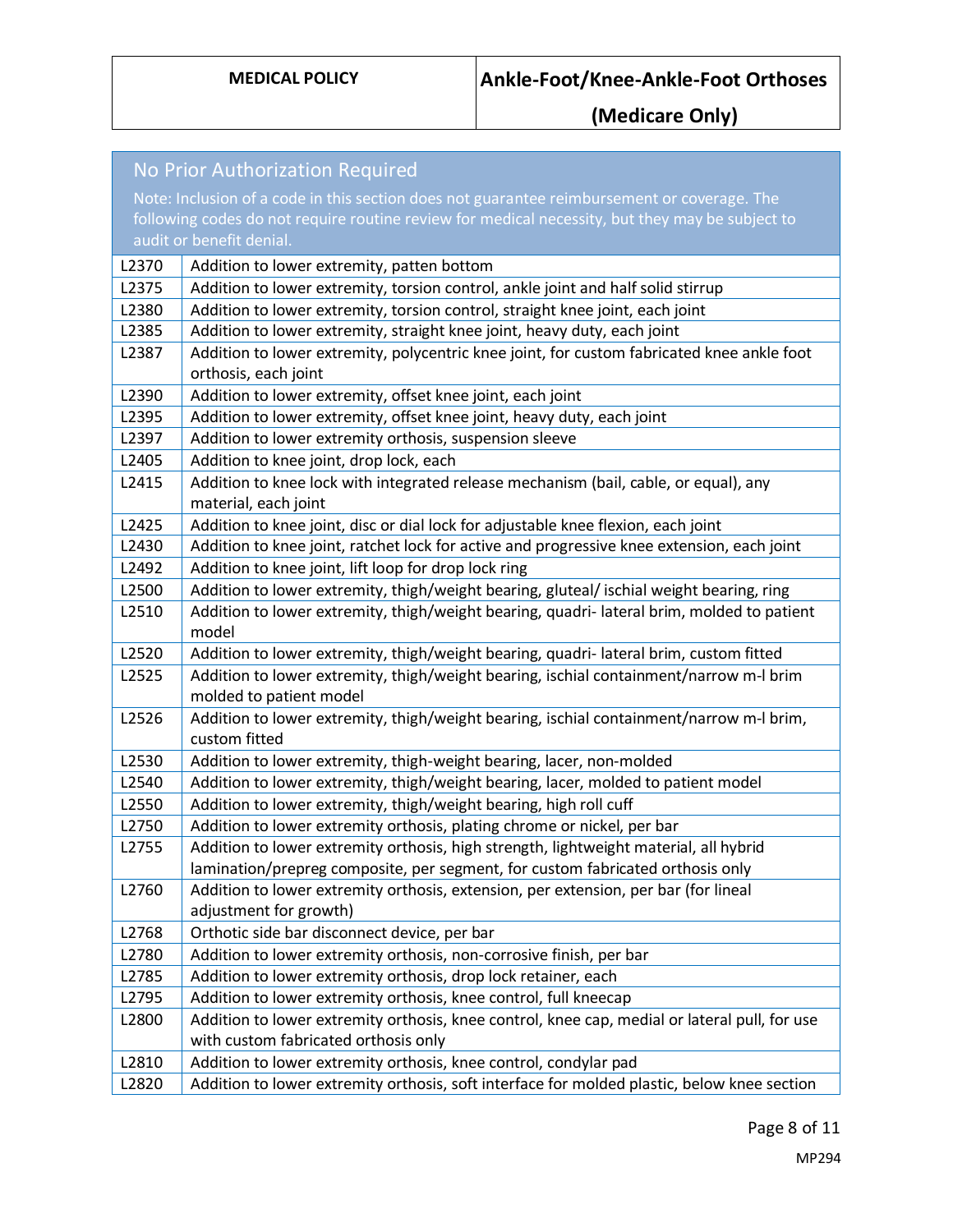| No Prior Authorization Required |                                                                                                                   |
|---------------------------------|-------------------------------------------------------------------------------------------------------------------|
|                                 | Note: Inclusion of a code in this section does not guarantee reimbursement or coverage. The                       |
|                                 | following codes do not require routine review for medical necessity, but they may be subject to                   |
|                                 | audit or benefit denial.                                                                                          |
| L2370                           | Addition to lower extremity, patten bottom                                                                        |
| L2375                           | Addition to lower extremity, torsion control, ankle joint and half solid stirrup                                  |
| L2380                           | Addition to lower extremity, torsion control, straight knee joint, each joint                                     |
| L2385                           | Addition to lower extremity, straight knee joint, heavy duty, each joint                                          |
| L2387                           | Addition to lower extremity, polycentric knee joint, for custom fabricated knee ankle foot                        |
|                                 | orthosis, each joint                                                                                              |
| L2390                           | Addition to lower extremity, offset knee joint, each joint                                                        |
| L2395                           | Addition to lower extremity, offset knee joint, heavy duty, each joint                                            |
| L2397                           | Addition to lower extremity orthosis, suspension sleeve                                                           |
| L2405                           | Addition to knee joint, drop lock, each                                                                           |
| L2415                           | Addition to knee lock with integrated release mechanism (bail, cable, or equal), any                              |
|                                 | material, each joint                                                                                              |
| L2425                           | Addition to knee joint, disc or dial lock for adjustable knee flexion, each joint                                 |
| L2430                           | Addition to knee joint, ratchet lock for active and progressive knee extension, each joint                        |
| L2492                           | Addition to knee joint, lift loop for drop lock ring                                                              |
| L2500                           | Addition to lower extremity, thigh/weight bearing, gluteal/ ischial weight bearing, ring                          |
| L2510                           | Addition to lower extremity, thigh/weight bearing, quadri-lateral brim, molded to patient                         |
|                                 | model                                                                                                             |
| L2520                           | Addition to lower extremity, thigh/weight bearing, quadri-lateral brim, custom fitted                             |
| L2525                           | Addition to lower extremity, thigh/weight bearing, ischial containment/narrow m-I brim<br>molded to patient model |
| L2526                           | Addition to lower extremity, thigh/weight bearing, ischial containment/narrow m-I brim,<br>custom fitted          |
| L2530                           | Addition to lower extremity, thigh-weight bearing, lacer, non-molded                                              |
| L2540                           | Addition to lower extremity, thigh/weight bearing, lacer, molded to patient model                                 |
| L2550                           | Addition to lower extremity, thigh/weight bearing, high roll cuff                                                 |
| L2750                           | Addition to lower extremity orthosis, plating chrome or nickel, per bar                                           |
| L2755                           | Addition to lower extremity orthosis, high strength, lightweight material, all hybrid                             |
|                                 | lamination/prepreg composite, per segment, for custom fabricated orthosis only                                    |
| L2760                           | Addition to lower extremity orthosis, extension, per extension, per bar (for lineal                               |
|                                 | adjustment for growth)                                                                                            |
| L2768                           | Orthotic side bar disconnect device, per bar                                                                      |
| L2780                           | Addition to lower extremity orthosis, non-corrosive finish, per bar                                               |
| L2785                           | Addition to lower extremity orthosis, drop lock retainer, each                                                    |
| L2795                           | Addition to lower extremity orthosis, knee control, full kneecap                                                  |
| L2800                           | Addition to lower extremity orthosis, knee control, knee cap, medial or lateral pull, for use                     |
|                                 | with custom fabricated orthosis only                                                                              |
| L2810                           | Addition to lower extremity orthosis, knee control, condylar pad                                                  |
| L2820                           | Addition to lower extremity orthosis, soft interface for molded plastic, below knee section                       |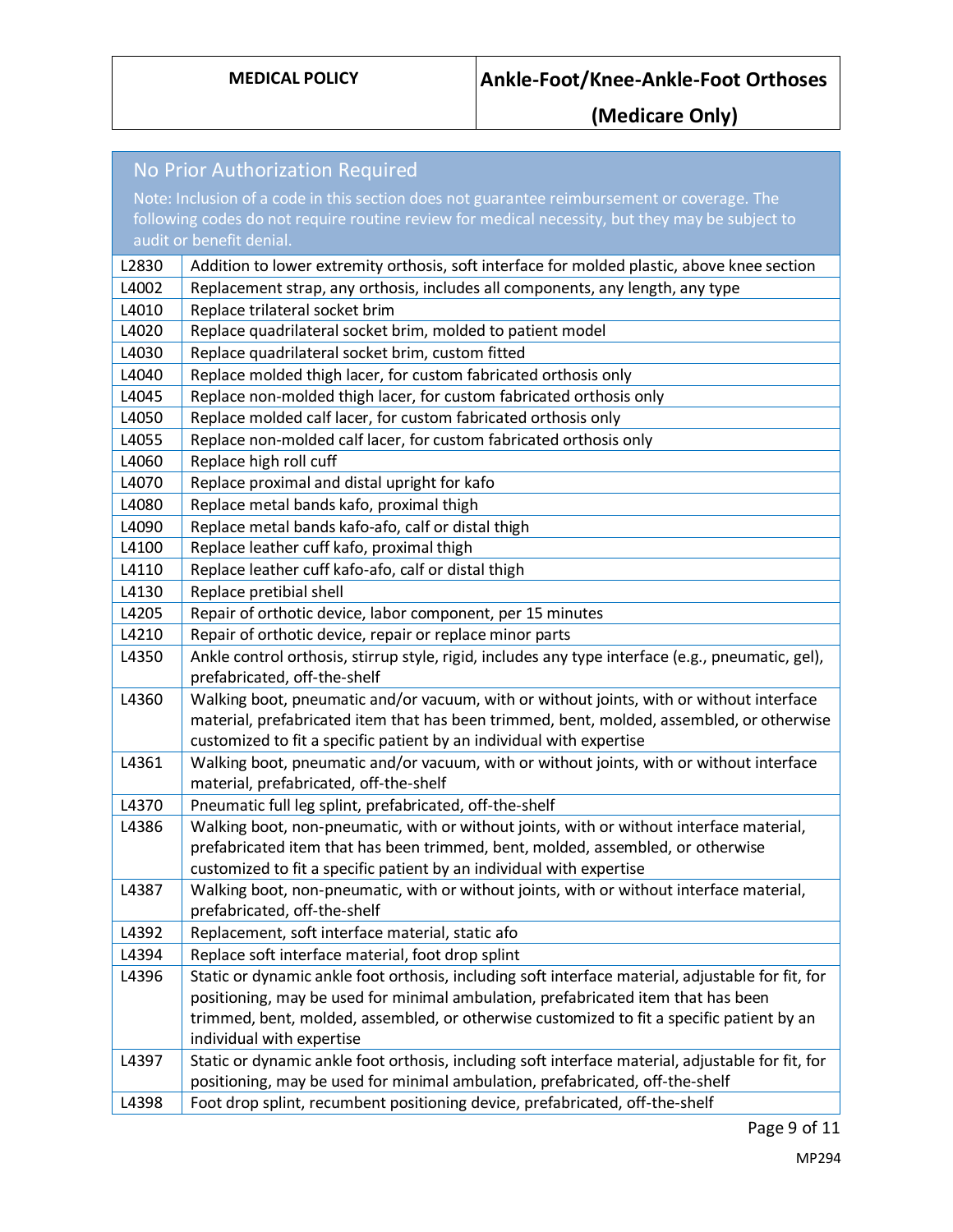| No Prior Authorization Required |                                                                                                                                                                  |  |
|---------------------------------|------------------------------------------------------------------------------------------------------------------------------------------------------------------|--|
|                                 | Note: Inclusion of a code in this section does not guarantee reimbursement or coverage. The                                                                      |  |
|                                 | following codes do not require routine review for medical necessity, but they may be subject to                                                                  |  |
|                                 | audit or benefit denial.                                                                                                                                         |  |
| L2830                           | Addition to lower extremity orthosis, soft interface for molded plastic, above knee section                                                                      |  |
| L4002                           | Replacement strap, any orthosis, includes all components, any length, any type                                                                                   |  |
| L4010                           | Replace trilateral socket brim                                                                                                                                   |  |
| L4020                           | Replace quadrilateral socket brim, molded to patient model                                                                                                       |  |
| L4030                           | Replace quadrilateral socket brim, custom fitted                                                                                                                 |  |
| L4040                           | Replace molded thigh lacer, for custom fabricated orthosis only                                                                                                  |  |
| L4045                           | Replace non-molded thigh lacer, for custom fabricated orthosis only                                                                                              |  |
| L4050                           | Replace molded calf lacer, for custom fabricated orthosis only                                                                                                   |  |
| L4055                           | Replace non-molded calf lacer, for custom fabricated orthosis only                                                                                               |  |
| L4060                           | Replace high roll cuff                                                                                                                                           |  |
| L4070                           | Replace proximal and distal upright for kafo                                                                                                                     |  |
| L4080                           | Replace metal bands kafo, proximal thigh                                                                                                                         |  |
| L4090                           | Replace metal bands kafo-afo, calf or distal thigh                                                                                                               |  |
| L4100                           | Replace leather cuff kafo, proximal thigh                                                                                                                        |  |
| L4110                           | Replace leather cuff kafo-afo, calf or distal thigh                                                                                                              |  |
| L4130                           | Replace pretibial shell                                                                                                                                          |  |
| L4205                           | Repair of orthotic device, labor component, per 15 minutes                                                                                                       |  |
| L4210                           | Repair of orthotic device, repair or replace minor parts                                                                                                         |  |
| L4350                           | Ankle control orthosis, stirrup style, rigid, includes any type interface (e.g., pneumatic, gel),                                                                |  |
|                                 | prefabricated, off-the-shelf                                                                                                                                     |  |
| L4360                           | Walking boot, pneumatic and/or vacuum, with or without joints, with or without interface                                                                         |  |
|                                 | material, prefabricated item that has been trimmed, bent, molded, assembled, or otherwise                                                                        |  |
| L4361                           | customized to fit a specific patient by an individual with expertise<br>Walking boot, pneumatic and/or vacuum, with or without joints, with or without interface |  |
|                                 | material, prefabricated, off-the-shelf                                                                                                                           |  |
| L4370                           | Pneumatic full leg splint, prefabricated, off-the-shelf                                                                                                          |  |
| L4386                           | Walking boot, non-pneumatic, with or without joints, with or without interface material,                                                                         |  |
|                                 | prefabricated item that has been trimmed, bent, molded, assembled, or otherwise                                                                                  |  |
|                                 | customized to fit a specific patient by an individual with expertise                                                                                             |  |
| L4387                           | Walking boot, non-pneumatic, with or without joints, with or without interface material,                                                                         |  |
|                                 | prefabricated, off-the-shelf                                                                                                                                     |  |
| L4392                           | Replacement, soft interface material, static afo                                                                                                                 |  |
| L4394                           | Replace soft interface material, foot drop splint                                                                                                                |  |
| L4396                           | Static or dynamic ankle foot orthosis, including soft interface material, adjustable for fit, for                                                                |  |
|                                 | positioning, may be used for minimal ambulation, prefabricated item that has been                                                                                |  |
|                                 | trimmed, bent, molded, assembled, or otherwise customized to fit a specific patient by an                                                                        |  |
|                                 | individual with expertise                                                                                                                                        |  |
| L4397                           | Static or dynamic ankle foot orthosis, including soft interface material, adjustable for fit, for                                                                |  |
|                                 | positioning, may be used for minimal ambulation, prefabricated, off-the-shelf                                                                                    |  |
| L4398                           | Foot drop splint, recumbent positioning device, prefabricated, off-the-shelf                                                                                     |  |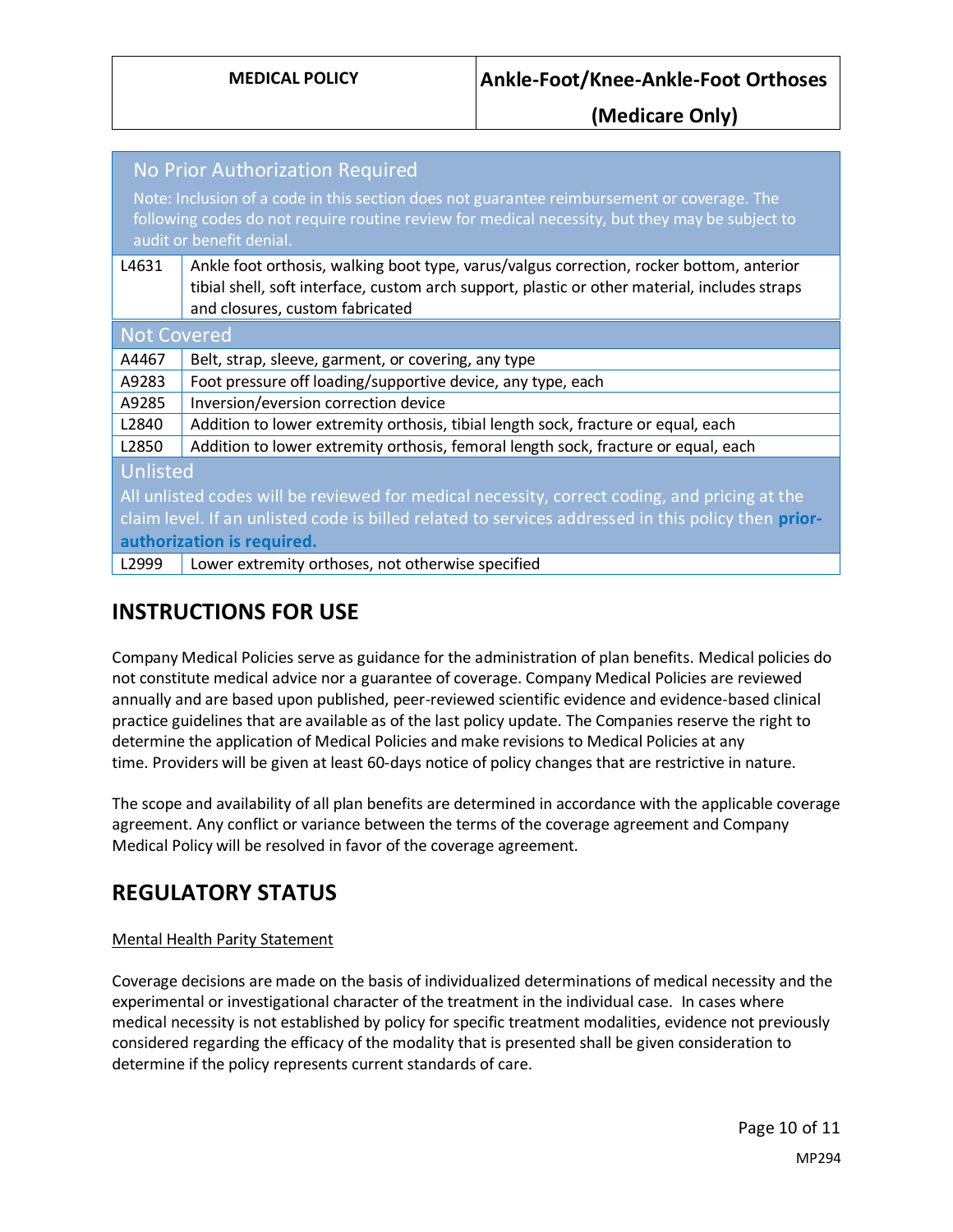| No Prior Authorization Required                                                                                                                                                                                            |                                                                                                                                                                                                                              |  |
|----------------------------------------------------------------------------------------------------------------------------------------------------------------------------------------------------------------------------|------------------------------------------------------------------------------------------------------------------------------------------------------------------------------------------------------------------------------|--|
| Note: Inclusion of a code in this section does not guarantee reimbursement or coverage. The<br>following codes do not require routine review for medical necessity, but they may be subject to<br>audit or benefit denial. |                                                                                                                                                                                                                              |  |
| L4631                                                                                                                                                                                                                      | Ankle foot orthosis, walking boot type, varus/valgus correction, rocker bottom, anterior<br>tibial shell, soft interface, custom arch support, plastic or other material, includes straps<br>and closures, custom fabricated |  |
| <b>Not Covered</b>                                                                                                                                                                                                         |                                                                                                                                                                                                                              |  |
| A4467                                                                                                                                                                                                                      | Belt, strap, sleeve, garment, or covering, any type                                                                                                                                                                          |  |
| A9283                                                                                                                                                                                                                      | Foot pressure off loading/supportive device, any type, each                                                                                                                                                                  |  |
| A9285                                                                                                                                                                                                                      | Inversion/eversion correction device                                                                                                                                                                                         |  |
| L2840                                                                                                                                                                                                                      | Addition to lower extremity orthosis, tibial length sock, fracture or equal, each                                                                                                                                            |  |
| L2850                                                                                                                                                                                                                      | Addition to lower extremity orthosis, femoral length sock, fracture or equal, each                                                                                                                                           |  |
| Unlisted                                                                                                                                                                                                                   |                                                                                                                                                                                                                              |  |
| All unlisted codes will be reviewed for medical necessity, correct coding, and pricing at the                                                                                                                              |                                                                                                                                                                                                                              |  |
| claim level. If an unlisted code is billed related to services addressed in this policy then prior-                                                                                                                        |                                                                                                                                                                                                                              |  |
| authorization is required.                                                                                                                                                                                                 |                                                                                                                                                                                                                              |  |
| L2999                                                                                                                                                                                                                      | Lower extremity orthoses, not otherwise specified                                                                                                                                                                            |  |

## **INSTRUCTIONS FOR USE**

Company Medical Policies serve as guidance for the administration of plan benefits. Medical policies do not constitute medical advice nor a guarantee of coverage. Company Medical Policies are reviewed annually and are based upon published, peer-reviewed scientific evidence and evidence-based clinical practice guidelines that are available as of the last policy update. The Companies reserve the right to determine the application of Medical Policies and make revisions to Medical Policies at any time. Providers will be given at least 60-days notice of policy changes that are restrictive in nature.

The scope and availability of all plan benefits are determined in accordance with the applicable coverage agreement. Any conflict or variance between the terms of the coverage agreement and Company Medical Policy will be resolved in favor of the coverage agreement.

# **REGULATORY STATUS**

### Mental Health Parity Statement

Coverage decisions are made on the basis of individualized determinations of medical necessity and the experimental or investigational character of the treatment in the individual case. In cases where medical necessity is not established by policy for specific treatment modalities, evidence not previously considered regarding the efficacy of the modality that is presented shall be given consideration to determine if the policy represents current standards of care.